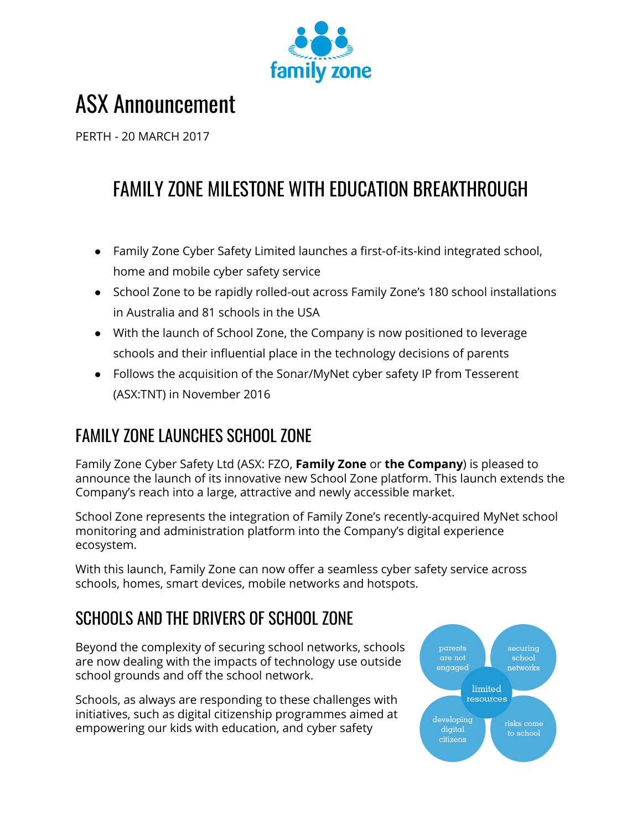

# ASX Announcement

PERTH - 20 MARCH 2017

# FAMILY ZONE MILESTONE WITH EDUCATION BREAKTHROUGH

- Family Zone Cyber Safety Limited launches a first-of-its-kind integrated school, home and mobile cyber safety service
- School Zone to be rapidly rolled-out across Family Zone's 180 school installations in Australia and 81 schools in the USA
- With the launch of School Zone, the Company is now positioned to leverage schools and their influential place in the technology decisions of parents
- Follows the acquisition of the Sonar/MyNet cyber safety IP from Tesserent (ASX:TNT) in November 2016

# FAMILY ZONE LAUNCHES SCHOOL ZONE

Family Zone Cyber Safety Ltd (ASX: FZO, **Family Zone** or **the Company**) is pleased to announce the launch of its innovative new School Zone platform. This launch extends the Company's reach into a large, attractive and newly accessible market.

School Zone represents the integration of Family Zone's recently-acquired MyNet school monitoring and administration platform into the Company's digital experience ecosystem.

With this launch, Family Zone can now offer a seamless cyber safety service across schools, homes, smart devices, mobile networks and hotspots.

# SCHOOLS AND THE DRIVERS OF SCHOOL ZONE

Beyond the complexity of securing school networks, schools are now dealing with the impacts of technology use outside school grounds and off the school network.

Schools, as always are responding to these challenges with initiatives, such as digital citizenship programmes aimed at empowering our kids with education, and cyber safety

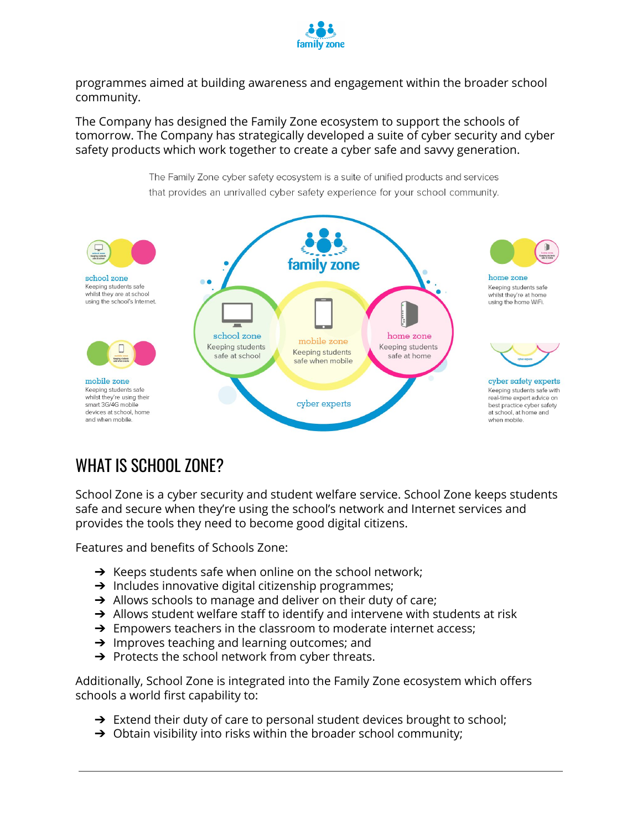

programmes aimed at building awareness and engagement within the broader school community.

The Company has designed the Family Zone ecosystem to support the schools of tomorrow. The Company has strategically developed a suite of cyber security and cyber safety products which work together to create a cyber safe and savvy generation.



## WHAT IS SCHOOL ZONE?

School Zone is a cyber security and student welfare service. School Zone keeps students safe and secure when they're using the school's network and Internet services and provides the tools they need to become good digital citizens.

Features and benefits of Schools Zone:

- $\rightarrow$  Keeps students safe when online on the school network;
- $\rightarrow$  Includes innovative digital citizenship programmes;
- $\rightarrow$  Allows schools to manage and deliver on their duty of care;
- $\rightarrow$  Allows student welfare staff to identify and intervene with students at risk
- $\rightarrow$  Empowers teachers in the classroom to moderate internet access;
- ➔ Improves teaching and learning outcomes; and
- $\rightarrow$  Protects the school network from cyber threats.

Additionally, School Zone is integrated into the Family Zone ecosystem which offers schools a world first capability to:

- → Extend their duty of care to personal student devices brought to school;
- $\rightarrow$  Obtain visibility into risks within the broader school community;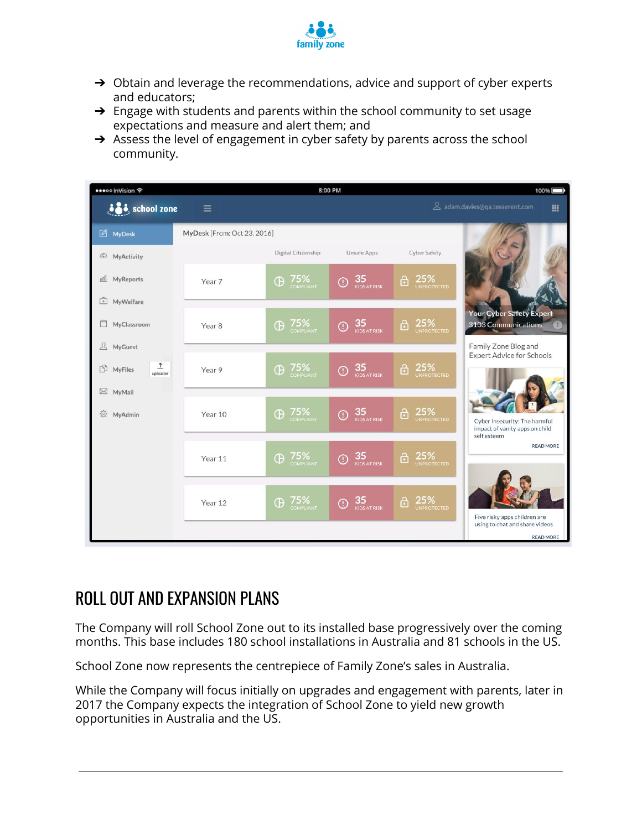

- → Obtain and leverage the recommendations, advice and support of cyber experts and educators;
- $\rightarrow$  Engage with students and parents within the school community to set usage expectations and measure and alert them; and
- $\rightarrow$  Assess the level of engagement in cyber safety by parents across the school community.

| ●●●●●● InVision 全                              | 8:00 PM                     |                       |                                |                                | 100%                                                            |
|------------------------------------------------|-----------------------------|-----------------------|--------------------------------|--------------------------------|-----------------------------------------------------------------|
| <b>ion</b> school zone                         | $\equiv$                    |                       |                                |                                | A adam.davies@qa.tesserent.com<br>噩                             |
| MyDesk                                         | MyDesk [From: Oct 23, 2016] |                       |                                |                                |                                                                 |
| 4D MyActivity                                  |                             | Digital Citizenship   | <b>Unsafe Apps</b>             | Cyber Safety                   |                                                                 |
| MyReports<br>nill                              | Year 7                      | 75%<br>COMPLIANT<br>Œ | 35<br>$_{\mathbb{O}}$          | 25%<br>UNPROTECTED<br>ĉ        |                                                                 |
| $\widehat{f}$<br>MyWelfare<br>门<br>MyClassroom | Year 8                      | 75%<br>COMPLIANT<br>Œ | 35<br>$\odot$                  | 25%<br>Ĝ                       | <b>Your Cyber Safety Expert</b><br>3103 Communications          |
| 요<br>MyGuest                                   |                             |                       | <b>KIDS AT RISK</b>            | <b>UNPROTECTED</b>             | Family Zone Blog and                                            |
| $\hat{I}$<br>n<br><b>MyFiles</b><br>uploader   | Year 9                      | 75%<br>COMPLIANT<br>Œ | 35<br>KIDS AT RISK<br>O        | 25%<br>UNPROTECTED<br>A        | <b>Expert Advice for Schools</b>                                |
| $\boxtimes$ MyMail<br>裕<br>MyAdmin             | Year 10                     | 75%<br>Œ<br>COMPLIANT | 35<br>C<br><b>KIDS AT RISK</b> | 25%<br>â<br><b>UNPROTECTED</b> | Cyber Insecurity: The harmful<br>impact of vanity apps on child |
|                                                | Year 11                     | 75%<br>Œ<br>COMPLIANT | 35<br>O<br><b>KIDS AT RISK</b> | 25%<br>ĉ<br>UNPROTECTED        | self esteem<br><b>READ MORE</b>                                 |
|                                                | Year 12                     | 75%<br>Œ<br>COMPLIANT | 35<br>C<br><b>KIDS AT RISK</b> | 25%<br>ĉ<br><b>UNPROTECTED</b> | Five risky apps children are                                    |
|                                                |                             |                       |                                |                                | using to chat and share videos<br><b>READ MORE</b>              |

## ROLL OUT AND EXPANSION PLANS

The Company will roll School Zone out to its installed base progressively over the coming months. This base includes 180 school installations in Australia and 81 schools in the US.

School Zone now represents the centrepiece of Family Zone's sales in Australia.

While the Company will focus initially on upgrades and engagement with parents, later in 2017 the Company expects the integration of School Zone to yield new growth opportunities in Australia and the US.